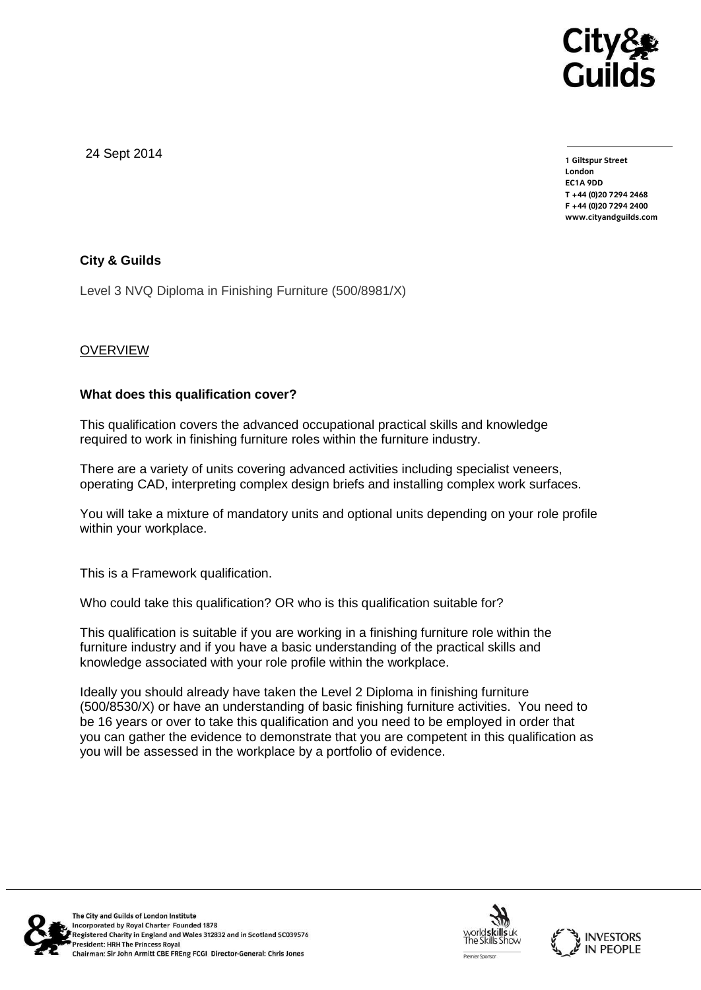

24 Sept 2014

**1 Giltspur Street EC1A 9DD** T +44 (0) 20 7 294 2468 **T +44 (0)20 7294 246[8](http://www.cityandguilds.com/) F +44 (0)20 7294 2400 [www.cityandguilds.com](http://www.cityandguilds.com/)**

# **City & Guilds**

Level 3 NVQ Diploma in Finishing Furniture (500/8981/X)

# **OVERVIEW**

### **What does this qualification cover?**

This qualification covers the advanced occupational practical skills and knowledge required to work in finishing furniture roles within the furniture industry.

There are a variety of units covering advanced activities including specialist veneers, operating CAD, interpreting complex design briefs and installing complex work surfaces.

You will take a mixture of mandatory units and optional units depending on your role profile within your workplace.

This is a Framework qualification.

Who could take this qualification? OR who is this qualification suitable for?

This qualification is suitable if you are working in a finishing furniture role within the furniture industry and if you have a basic understanding of the practical skills and knowledge associated with your role profile within the workplace.

Ideally you should already have taken the Level 2 Diploma in finishing furniture (500/8530/X) or have an understanding of basic finishing furniture activities. You need to be 16 years or over to take this qualification and you need to be employed in order that you can gather the evidence to demonstrate that you are competent in this qualification as you will be assessed in the workplace by a portfolio of evidence.